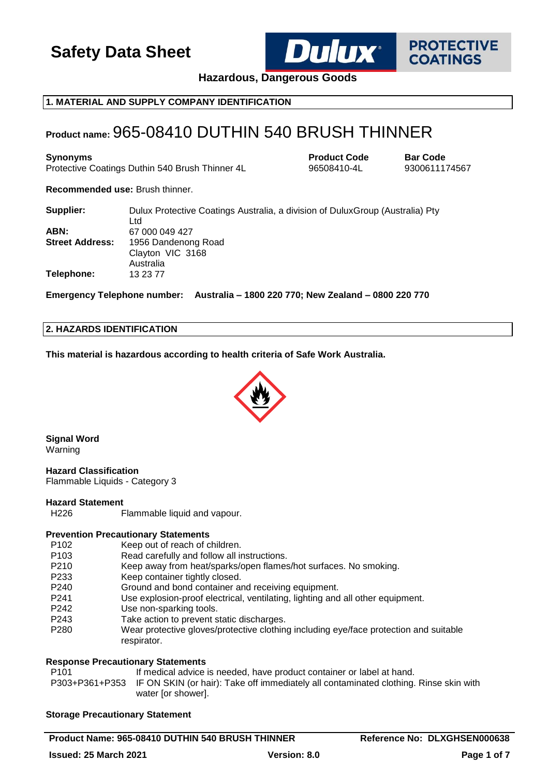

**PROTECTIVE COATINGS** 

**Hazardous, Dangerous Goods**

## **1. MATERIAL AND SUPPLY COMPANY IDENTIFICATION**

## **Product name:** 965-08410 DUTHIN 540 BRUSH THINNER

**Synonyms Product Code Bar Code** Protective Coatings Duthin 540 Brush Thinner 4L 96508410-4L 9300611174567

**Recommended use:** Brush thinner.

| Supplier:              | Dulux Protective Coatings Australia, a division of Dulux Group (Australia) Pty<br>Ltd |
|------------------------|---------------------------------------------------------------------------------------|
| ABN:                   | 67 000 049 427                                                                        |
| <b>Street Address:</b> | 1956 Dandenong Road                                                                   |
|                        | Clayton VIC 3168                                                                      |
|                        | Australia                                                                             |
| Telephone:             | 13 23 77                                                                              |

**Emergency Telephone number: Australia – 1800 220 770; New Zealand – 0800 220 770**

#### **2. HAZARDS IDENTIFICATION**

**This material is hazardous according to health criteria of Safe Work Australia.**



**Signal Word** Warning

**Hazard Classification** Flammable Liquids - Category 3

## **Hazard Statement**

H226 Flammable liquid and vapour.

## **Prevention Precautionary Statements**

- P102 Keep out of reach of children.
- P103 Read carefully and follow all instructions.
- P210 Keep away from heat/sparks/open flames/hot surfaces. No smoking.
- P233 Keep container tightly closed.
- P240 Ground and bond container and receiving equipment.
- P241 Use explosion-proof electrical, ventilating, lighting and all other equipment.
- P242 Use non-sparking tools.
- P243 Take action to prevent static discharges.
- P280 Wear protective gloves/protective clothing including eye/face protection and suitable respirator.

## **Response Precautionary Statements**

P101 If medical advice is needed, have product container or label at hand. P303+P361+P353 IF ON SKIN (or hair): Take off immediately all contaminated clothing. Rinse skin with water for showerl.

## **Storage Precautionary Statement**

**Product Name: 965-08410 DUTHIN 540 BRUSH THINNER Reference No: DLXGHSEN000638**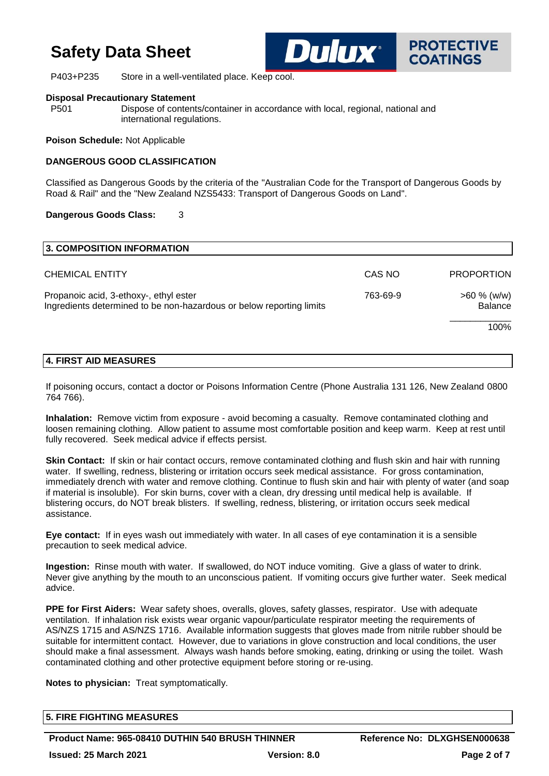P403+P235 Store in a well-ventilated place. Keep cool.

**Dulux**\*

**PROTECTIVE COATINGS** 

#### **Disposal Precautionary Statement**

P501 Dispose of contents/container in accordance with local, regional, national and international regulations.

**Poison Schedule:** Not Applicable

#### **DANGEROUS GOOD CLASSIFICATION**

Classified as Dangerous Goods by the criteria of the "Australian Code for the Transport of Dangerous Goods by Road & Rail" and the "New Zealand NZS5433: Transport of Dangerous Goods on Land".

#### **Dangerous Goods Class:** 3

| 3. COMPOSITION INFORMATION                                                                                                 |        |                                  |
|----------------------------------------------------------------------------------------------------------------------------|--------|----------------------------------|
| <b>CHEMICAL ENTITY</b>                                                                                                     | CAS NO | <b>PROPORTION</b>                |
| Propanoic acid, 3-ethoxy-, ethyl ester<br>763-69-9<br>Ingredients determined to be non-hazardous or below reporting limits |        | $>60 \%$ (w/w)<br><b>Balance</b> |
|                                                                                                                            |        | 100%                             |

## **4. FIRST AID MEASURES**

If poisoning occurs, contact a doctor or Poisons Information Centre (Phone Australia 131 126, New Zealand 0800 764 766).

**Inhalation:** Remove victim from exposure - avoid becoming a casualty. Remove contaminated clothing and loosen remaining clothing. Allow patient to assume most comfortable position and keep warm. Keep at rest until fully recovered. Seek medical advice if effects persist.

**Skin Contact:** If skin or hair contact occurs, remove contaminated clothing and flush skin and hair with running water. If swelling, redness, blistering or irritation occurs seek medical assistance. For gross contamination, immediately drench with water and remove clothing. Continue to flush skin and hair with plenty of water (and soap if material is insoluble). For skin burns, cover with a clean, dry dressing until medical help is available. If blistering occurs, do NOT break blisters. If swelling, redness, blistering, or irritation occurs seek medical assistance.

**Eye contact:** If in eyes wash out immediately with water. In all cases of eye contamination it is a sensible precaution to seek medical advice.

**Ingestion:** Rinse mouth with water. If swallowed, do NOT induce vomiting. Give a glass of water to drink. Never give anything by the mouth to an unconscious patient. If vomiting occurs give further water. Seek medical advice.

**PPE for First Aiders:** Wear safety shoes, overalls, gloves, safety glasses, respirator. Use with adequate ventilation. If inhalation risk exists wear organic vapour/particulate respirator meeting the requirements of AS/NZS 1715 and AS/NZS 1716. Available information suggests that gloves made from nitrile rubber should be suitable for intermittent contact. However, due to variations in glove construction and local conditions, the user should make a final assessment. Always wash hands before smoking, eating, drinking or using the toilet. Wash contaminated clothing and other protective equipment before storing or re-using.

**Notes to physician:** Treat symptomatically.

| <b>5. FIRE FIGHTING MEASURES</b> |  |  |
|----------------------------------|--|--|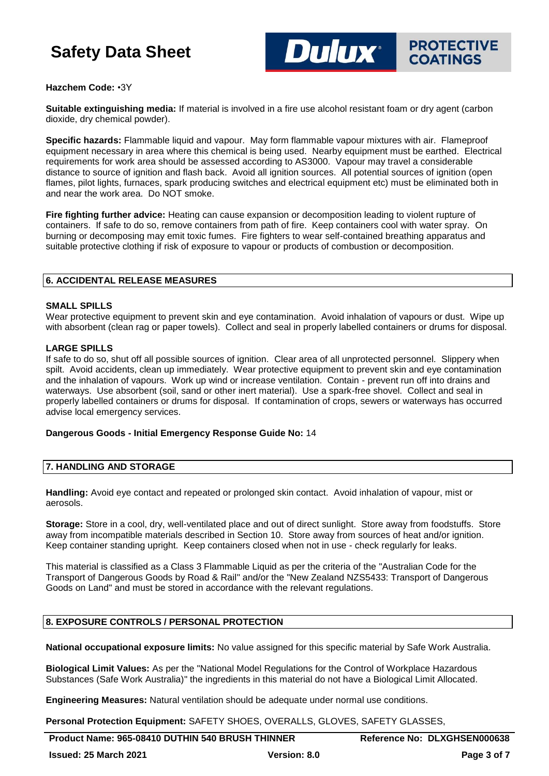**DUUX** PROTECTIVE **COATINGS** 

#### **Hazchem Code:** •3Y

**Suitable extinguishing media:** If material is involved in a fire use alcohol resistant foam or dry agent (carbon dioxide, dry chemical powder).

**Specific hazards:** Flammable liquid and vapour. May form flammable vapour mixtures with air. Flameproof equipment necessary in area where this chemical is being used. Nearby equipment must be earthed. Electrical requirements for work area should be assessed according to AS3000. Vapour may travel a considerable distance to source of ignition and flash back. Avoid all ignition sources. All potential sources of ignition (open flames, pilot lights, furnaces, spark producing switches and electrical equipment etc) must be eliminated both in and near the work area. Do NOT smoke.

**Fire fighting further advice:** Heating can cause expansion or decomposition leading to violent rupture of containers. If safe to do so, remove containers from path of fire. Keep containers cool with water spray. On burning or decomposing may emit toxic fumes. Fire fighters to wear self-contained breathing apparatus and suitable protective clothing if risk of exposure to vapour or products of combustion or decomposition.

#### **6. ACCIDENTAL RELEASE MEASURES**

#### **SMALL SPILLS**

Wear protective equipment to prevent skin and eye contamination. Avoid inhalation of vapours or dust. Wipe up with absorbent (clean rag or paper towels). Collect and seal in properly labelled containers or drums for disposal.

#### **LARGE SPILLS**

If safe to do so, shut off all possible sources of ignition. Clear area of all unprotected personnel. Slippery when spilt. Avoid accidents, clean up immediately. Wear protective equipment to prevent skin and eye contamination and the inhalation of vapours. Work up wind or increase ventilation. Contain - prevent run off into drains and waterways. Use absorbent (soil, sand or other inert material). Use a spark-free shovel. Collect and seal in properly labelled containers or drums for disposal. If contamination of crops, sewers or waterways has occurred advise local emergency services.

#### **Dangerous Goods - Initial Emergency Response Guide No:** 14

#### **7. HANDLING AND STORAGE**

**Handling:** Avoid eye contact and repeated or prolonged skin contact. Avoid inhalation of vapour, mist or aerosols.

**Storage:** Store in a cool, dry, well-ventilated place and out of direct sunlight. Store away from foodstuffs. Store away from incompatible materials described in Section 10. Store away from sources of heat and/or ignition. Keep container standing upright. Keep containers closed when not in use - check regularly for leaks.

This material is classified as a Class 3 Flammable Liquid as per the criteria of the "Australian Code for the Transport of Dangerous Goods by Road & Rail" and/or the "New Zealand NZS5433: Transport of Dangerous Goods on Land" and must be stored in accordance with the relevant regulations.

#### **8. EXPOSURE CONTROLS / PERSONAL PROTECTION**

**National occupational exposure limits:** No value assigned for this specific material by Safe Work Australia.

**Biological Limit Values:** As per the "National Model Regulations for the Control of Workplace Hazardous Substances (Safe Work Australia)" the ingredients in this material do not have a Biological Limit Allocated.

**Engineering Measures:** Natural ventilation should be adequate under normal use conditions.

**Personal Protection Equipment:** SAFETY SHOES, OVERALLS, GLOVES, SAFETY GLASSES,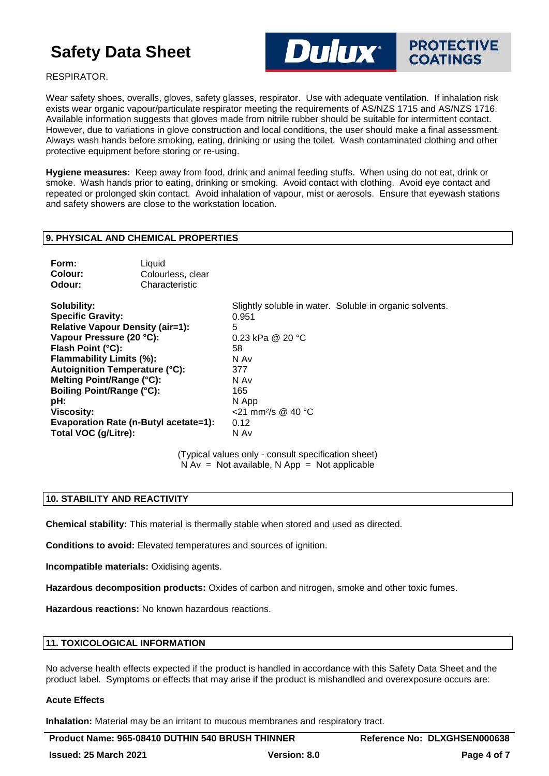

#### RESPIRATOR.

Wear safety shoes, overalls, gloves, safety glasses, respirator. Use with adequate ventilation. If inhalation risk exists wear organic vapour/particulate respirator meeting the requirements of AS/NZS 1715 and AS/NZS 1716. Available information suggests that gloves made from nitrile rubber should be suitable for intermittent contact. However, due to variations in glove construction and local conditions, the user should make a final assessment. Always wash hands before smoking, eating, drinking or using the toilet. Wash contaminated clothing and other protective equipment before storing or re-using.

**Hygiene measures:** Keep away from food, drink and animal feeding stuffs. When using do not eat, drink or smoke. Wash hands prior to eating, drinking or smoking. Avoid contact with clothing. Avoid eye contact and repeated or prolonged skin contact. Avoid inhalation of vapour, mist or aerosols. Ensure that eyewash stations and safety showers are close to the workstation location.

#### **9. PHYSICAL AND CHEMICAL PROPERTIES**

| Form:   | Liquid            |
|---------|-------------------|
| Colour: | Colourless, clear |
| Odour:  | Characteristic    |

**Specific Gravity:** 0.951 **Relative Vapour Density (air=1):** 5<br> **Vapour Pressure (20 °C):** 0.23 kPa @ 20 °C **Vapour Pressure (20 °C):** Flash Point (°C): 58 **Flammability Limits (%):** N Av Autoignition Temperature (°C): 377 **Melting Point/Range (°C):** N Av **Boiling Point/Range (°C):** 165 **pH:** N App **Viscosity:**  $\leq$  21 mm<sup>2</sup>/s @ 40 °C **Evaporation Rate (n-Butyl acetate=1):** 0.12 **Total VOC (g/Litre):** N Av

**Solubility:** Slightly soluble in water. Soluble in organic solvents.

(Typical values only - consult specification sheet)  $N Av = Not available, N App = Not applicable$ 

## **10. STABILITY AND REACTIVITY**

**Chemical stability:** This material is thermally stable when stored and used as directed.

**Conditions to avoid:** Elevated temperatures and sources of ignition.

**Incompatible materials:** Oxidising agents.

**Hazardous decomposition products:** Oxides of carbon and nitrogen, smoke and other toxic fumes.

**Hazardous reactions:** No known hazardous reactions.

## **11. TOXICOLOGICAL INFORMATION**

No adverse health effects expected if the product is handled in accordance with this Safety Data Sheet and the product label. Symptoms or effects that may arise if the product is mishandled and overexposure occurs are:

#### **Acute Effects**

**Inhalation:** Material may be an irritant to mucous membranes and respiratory tract.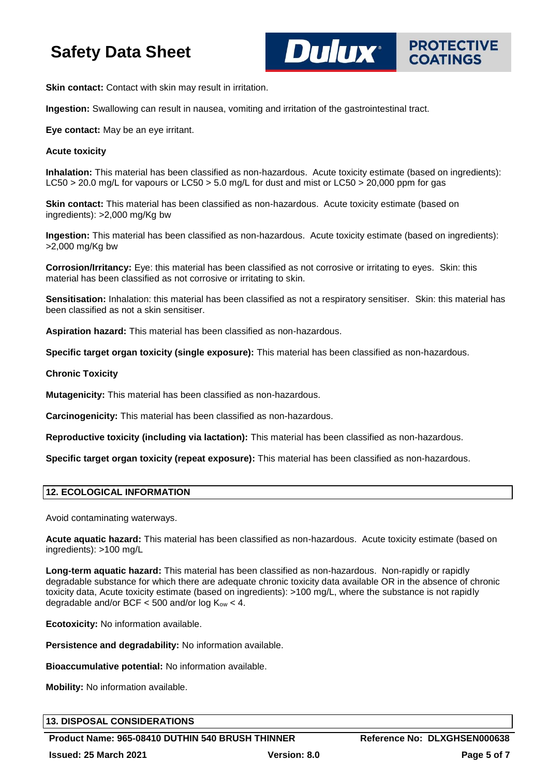**PROTECTIVE COATINGS** 

**Skin contact:** Contact with skin may result in irritation.

**Ingestion:** Swallowing can result in nausea, vomiting and irritation of the gastrointestinal tract.

**Eye contact:** May be an eye irritant.

#### **Acute toxicity**

**Inhalation:** This material has been classified as non-hazardous. Acute toxicity estimate (based on ingredients): LC50 > 20.0 mg/L for vapours or LC50 > 5.0 mg/L for dust and mist or LC50 > 20,000 ppm for gas

**Dulux**®

**Skin contact:** This material has been classified as non-hazardous. Acute toxicity estimate (based on ingredients): >2,000 mg/Kg bw

**Ingestion:** This material has been classified as non-hazardous. Acute toxicity estimate (based on ingredients): >2,000 mg/Kg bw

**Corrosion/Irritancy:** Eye: this material has been classified as not corrosive or irritating to eyes. Skin: this material has been classified as not corrosive or irritating to skin.

**Sensitisation:** Inhalation: this material has been classified as not a respiratory sensitiser. Skin: this material has been classified as not a skin sensitiser.

**Aspiration hazard:** This material has been classified as non-hazardous.

**Specific target organ toxicity (single exposure):** This material has been classified as non-hazardous.

**Chronic Toxicity**

**Mutagenicity:** This material has been classified as non-hazardous.

**Carcinogenicity:** This material has been classified as non-hazardous.

**Reproductive toxicity (including via lactation):** This material has been classified as non-hazardous.

**Specific target organ toxicity (repeat exposure):** This material has been classified as non-hazardous.

#### **12. ECOLOGICAL INFORMATION**

Avoid contaminating waterways.

**Acute aquatic hazard:** This material has been classified as non-hazardous. Acute toxicity estimate (based on ingredients): >100 mg/L

**Long-term aquatic hazard:** This material has been classified as non-hazardous. Non-rapidly or rapidly degradable substance for which there are adequate chronic toxicity data available OR in the absence of chronic toxicity data, Acute toxicity estimate (based on ingredients): >100 mg/L, where the substance is not rapidly degradable and/or BCF  $<$  500 and/or log  $K_{ow}$   $<$  4.

**Ecotoxicity:** No information available.

**Persistence and degradability:** No information available.

**Bioaccumulative potential:** No information available.

**Mobility:** No information available.

#### **13. DISPOSAL CONSIDERATIONS**

**Product Name: 965-08410 DUTHIN 540 BRUSH THINNER Reference No: DLXGHSEN000638 Issued: 25 March 2021 Version: 8.0 Page 5 of 7**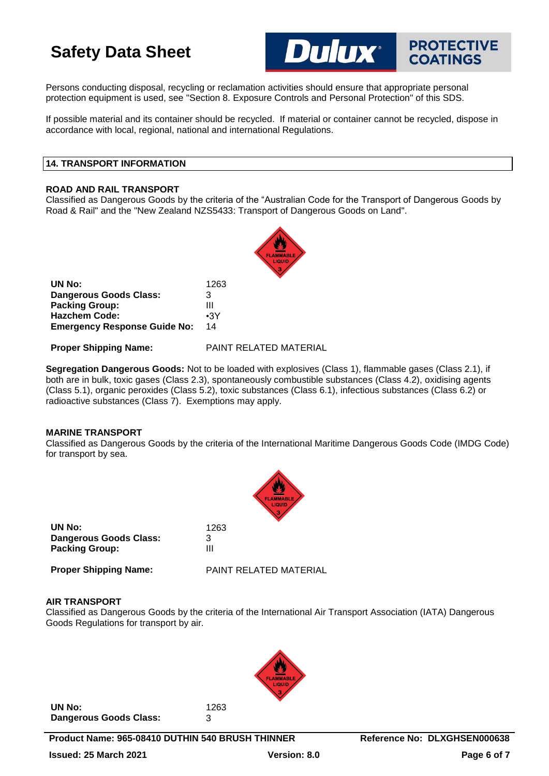Persons conducting disposal, recycling or reclamation activities should ensure that appropriate personal protection equipment is used, see "Section 8. Exposure Controls and Personal Protection" of this SDS.

If possible material and its container should be recycled. If material or container cannot be recycled, dispose in accordance with local, regional, national and international Regulations.

**Dulux**\*

**PROTECTIVE COATINGS** 

## **14. TRANSPORT INFORMATION**

#### **ROAD AND RAIL TRANSPORT**

Classified as Dangerous Goods by the criteria of the "Australian Code for the Transport of Dangerous Goods by Road & Rail" and the "New Zealand NZS5433: Transport of Dangerous Goods on Land".



**Proper Shipping Name:** PAINT RELATED MATERIAL

**Segregation Dangerous Goods:** Not to be loaded with explosives (Class 1), flammable gases (Class 2.1), if both are in bulk, toxic gases (Class 2.3), spontaneously combustible substances (Class 4.2), oxidising agents (Class 5.1), organic peroxides (Class 5.2), toxic substances (Class 6.1), infectious substances (Class 6.2) or radioactive substances (Class 7). Exemptions may apply.

## **MARINE TRANSPORT**

Classified as Dangerous Goods by the criteria of the International Maritime Dangerous Goods Code (IMDG Code) for transport by sea.

|                               | <b>FLAMMABLE</b><br>LIQUID |
|-------------------------------|----------------------------|
| UN No:                        | 1263                       |
| <b>Dangerous Goods Class:</b> | 3                          |
| <b>Packing Group:</b>         | Ш                          |
| <b>Proper Shipping Name:</b>  | PAINT RELATED MATERIAL     |

#### **AIR TRANSPORT**

Classified as Dangerous Goods by the criteria of the International Air Transport Association (IATA) Dangerous Goods Regulations for transport by air.